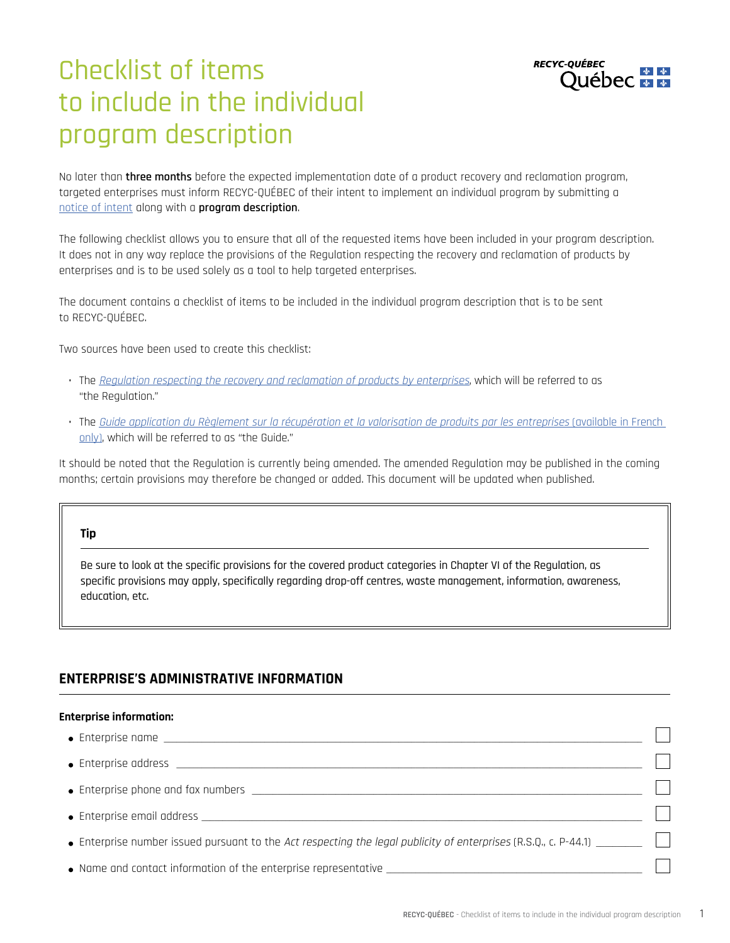

# Checklist of items to include in the individual program description

No later than **three months** before the expected implementation date of a product recovery and reclamation program, targeted enterprises must inform RECYC-QUÉBEC of their intent to implement an individual program by submitting a [notice of intent](https://www.recyc-quebec.gouv.qc.ca/sites/default/files/documents/formulaire-renseignements-avis-intention-REP-en.pdf) along with a **program description**.

The following checklist allows you to ensure that all of the requested items have been included in your program description. It does not in any way replace the provisions of the Regulation respecting the recovery and reclamation of products by enterprises and is to be used solely as a tool to help targeted enterprises.

The document contains a checklist of items to be included in the individual program description that is to be sent to RECYC-QUÉBEC.

Two sources have been used to create this checklist:

- The [Regulation respecting the recovery and reclamation of products by enterprises](https://www.legisquebec.gouv.qc.ca/en/document/cr/Q-2, r. 40.1), which will be referred to as "the Regulation."
- The [Guide application du Règlement sur la récupération et la valorisation de produits par les entreprises](https://www.recycfluo.ca/en/files/2014-01/Guide-to-the-Application-of-the-Regulation.pdf) (available in French [only\),](https://www.recycfluo.ca/en/files/2014-01/Guide-to-the-Application-of-the-Regulation.pdf) which will be referred to as "the Guide."

It should be noted that the Regulation is currently being amended. The amended Regulation may be published in the coming months; certain provisions may therefore be changed or added. This document will be updated when published.

#### **Tip**

Be sure to look at the specific provisions for the covered product categories in Chapter VI of the Regulation, as specific provisions may apply, specifically regarding drop-off centres, waste management, information, awareness, education, etc.

# **ENTERPRISE'S ADMINISTRATIVE INFORMATION**

#### **Enterprise information:**

| $\bullet$ Enterprise address $\qquad \qquad$       |  |
|----------------------------------------------------|--|
|                                                    |  |
| $\bullet$ Enterprise email address $\qquad \qquad$ |  |
|                                                    |  |
|                                                    |  |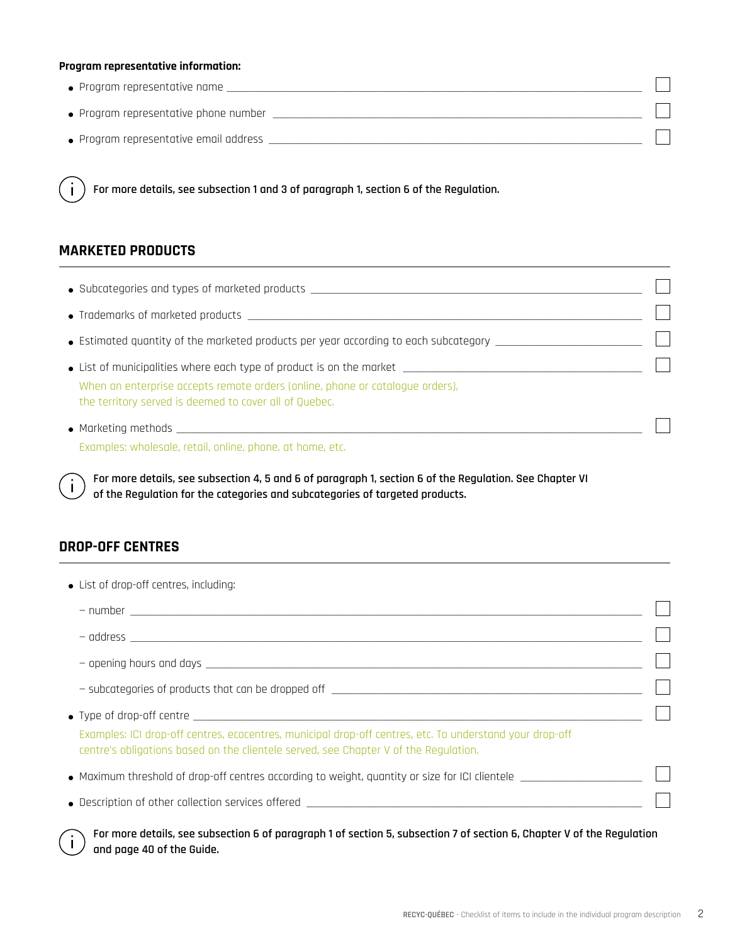#### **Program representative information:**

| $\bullet$ Program representative name  |  |
|----------------------------------------|--|
| • Program representative phone number  |  |
| • Program representative email address |  |

**For more details, see subsection 1 and 3 of paragraph 1, section 6 of the Regulation.** 

## **MARKETED PRODUCTS**

 $\mathbf{i}$ 

| $\bullet$ Subcategories and types of marketed products $\_\_$                                                                                                                                                                  |  |
|--------------------------------------------------------------------------------------------------------------------------------------------------------------------------------------------------------------------------------|--|
| $\bullet$ Trademarks of marketed products $\qquad \qquad \bullet$                                                                                                                                                              |  |
|                                                                                                                                                                                                                                |  |
| $\bullet$ List of municipalities where each type of product is on the market $\_\_$<br>When an enterprise accepts remote orders (online, phone or catalogue orders),<br>the territory served is deemed to cover all of Quebec. |  |
| $\bullet$ Marketing methods $\bullet$ Marketing methods $\bullet$<br>Examples: wholesale, retail, online, phone, at home, etc.                                                                                                 |  |

**For more details, see subsection 4, 5 and 6 of paragraph 1, section 6 of the Regulation. See Chapter VI of the Regulation for the categories and subcategories of targeted products.**

# **DROP-OFF CENTRES**

 $\mathbf{i}$ 

Ť

| • List of drop-off centres, including:                                                                                                                                                           |  |
|--------------------------------------------------------------------------------------------------------------------------------------------------------------------------------------------------|--|
|                                                                                                                                                                                                  |  |
|                                                                                                                                                                                                  |  |
|                                                                                                                                                                                                  |  |
|                                                                                                                                                                                                  |  |
| • Type of drop-off centre $\_\_$                                                                                                                                                                 |  |
| Examples: ICI drop-off centres, ecocentres, municipal drop-off centres, etc. To understand your drop-off<br>centre's obligations based on the clientele served, see Chapter V of the Regulation. |  |
| $\bullet$ Maximum threshold of drop-off centres according to weight, quantity or size for ICI clientele $\overline{\phantom{a}}$                                                                 |  |
|                                                                                                                                                                                                  |  |

**For more details, see subsection 6 of paragraph 1 of section 5, subsection 7 of section 6, Chapter V of the Regulation and page 40 of the Guide.**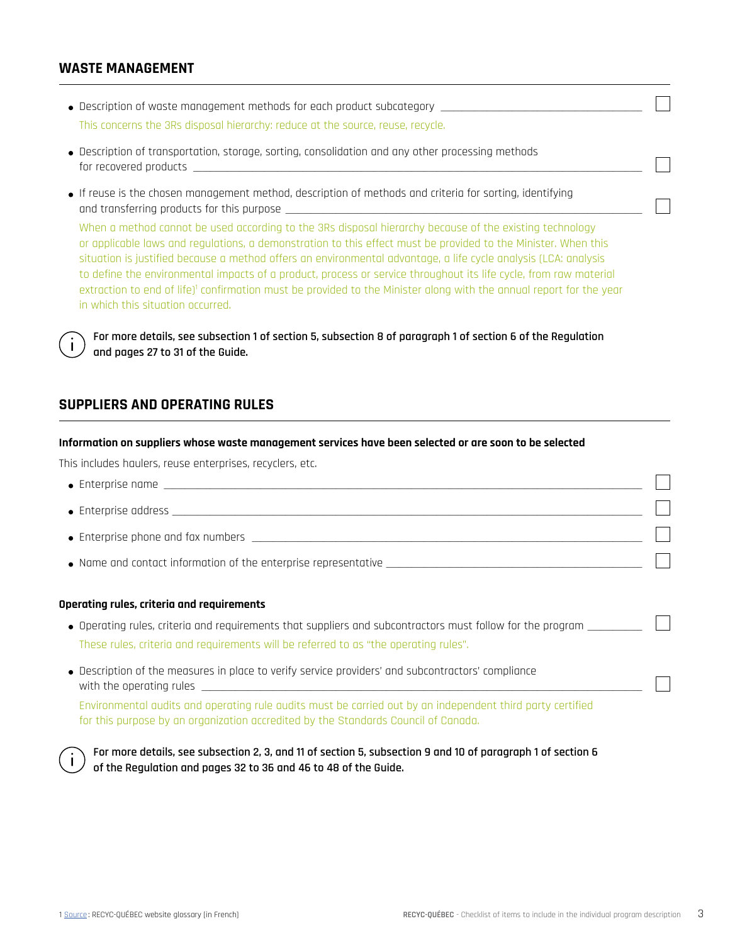## **WASTE MANAGEMENT**

- $\bullet$  Description of waste management methods for each product subcategory  $\quad$ This concerns the 3Rs disposal hierarchy: reduce at the source, reuse, recycle.
- Description of transportation, storage, sorting, consolidation and any other processing methods for recovered products
- If reuse is the chosen management method, description of methods and criteria for sorting, identifying and transferring products for this purpose \_\_\_\_\_\_\_\_\_\_\_\_\_\_\_\_\_\_\_\_\_\_\_\_\_\_\_\_\_\_\_\_\_\_\_\_\_\_\_\_\_\_\_\_\_\_\_\_\_\_\_\_\_\_\_\_\_\_\_\_\_\_\_\_\_\_\_\_\_\_\_\_\_\_\_\_\_\_\_\_\_\_\_\_\_

When a method cannot be used according to the 3Rs disposal hierarchy because of the existing technology or applicable laws and regulations, a demonstration to this effect must be provided to the Minister. When this situation is justified because a method offers an environmental advantage, a life cycle analysis (LCA: analysis to define the environmental impacts of a product, process or service throughout its life cycle, from raw material extraction to end of life)<sup>1</sup> confirmation must be provided to the Minister along with the annual report for the year in which this situation occurred.

**For more details, see subsection 1 of section 5, subsection 8 of paragraph 1 of section 6 of the Regulation and pages 27 to 31 of the Guide.**

## **SUPPLIERS AND OPERATING RULES**

#### **Information on suppliers whose waste management services have been selected or are soon to be selected**

This includes haulers, reuse enterprises, recyclers, etc.

- Enterprise name \_\_\_\_\_\_\_\_\_\_\_\_\_\_\_\_\_\_\_\_\_\_\_\_\_\_\_\_\_\_\_\_\_\_\_\_\_\_\_\_\_\_\_\_\_\_\_\_\_\_\_\_\_\_\_\_\_\_\_\_\_\_\_\_\_\_\_\_\_\_\_\_\_\_\_\_\_\_\_\_\_\_\_\_\_\_\_\_\_\_\_\_\_\_\_\_\_\_\_\_\_\_\_\_\_\_\_\_\_\_\_ \_\_\_  $\bullet$  Enterprise address  $\rule{1em}{0.15mm}$  $\bullet$  Enterprise phone and fax numbers  $\overline{\phantom{0}}$ \_\_\_
- Name and contact information of the enterprise representative \_\_\_\_\_\_\_\_\_\_\_\_\_\_\_\_\_\_\_\_\_\_\_\_\_\_\_\_\_\_\_\_\_\_\_\_\_\_\_\_\_\_\_\_\_\_\_\_\_\_\_\_\_\_\_\_\_\_

#### **Operating rules, criteria and requirements**

- $\bullet$  Operating rules, criteria and requirements that suppliers and subcontractors must follow for the program  $\_\_$ These rules, criteria and requirements will be referred to as "the operating rules".
- Description of the measures in place to verify service providers' and subcontractors' compliance with the operating rules  $\Box$

Environmental audits and operating rule audits must be carried out by an independent third party certified for this purpose by an organization accredited by the Standards Council of Canada.



**For more details, see subsection 2, 3, and 11 of section 5, subsection 9 and 10 of paragraph 1 of section 6 of the Regulation and pages 32 to 36 and 46 to 48 of the Guide.** 

\_\_\_

\_\_\_

\_\_\_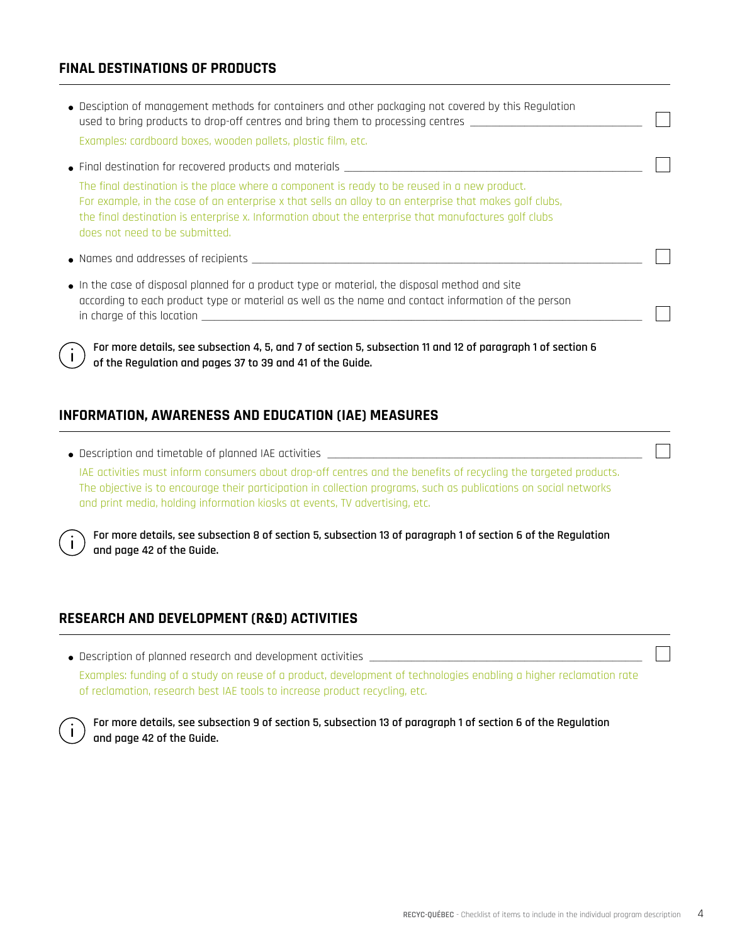# **FINAL DESTINATIONS OF PRODUCTS**

- Desciption of management methods for containers and other packaging not covered by this Regulation used to bring products to drop-off centres and bring them to processing centres Examples: cardboard boxes, wooden pallets, plastic film, etc.
- $\bullet$  Final destination for recovered products and materials

The final destination is the place where a component is ready to be reused in a new product. For example, in the case of an enterprise x that sells an alloy to an enterprise that makes golf clubs, the final destination is enterprise x. Information about the enterprise that manufactures golf clubs does not need to be submitted.

- $\bullet$  Names and addresses of recipients  $\rule{1em}{0.15mm}$
- In the case of disposal planned for a product type or material, the disposal method and site according to each product type or material as well as the name and contact information of the person in charge of this location \_\_\_\_\_\_\_\_\_\_\_\_\_\_\_\_\_\_\_\_\_\_\_\_\_\_\_\_\_\_\_\_\_\_\_\_\_\_\_\_\_\_\_\_\_\_\_\_\_\_\_\_\_\_\_\_\_\_\_\_\_\_\_\_\_\_\_\_\_\_\_\_\_\_\_\_\_\_\_\_\_\_\_\_\_\_\_\_\_\_\_\_\_\_\_\_\_\_\_\_\_\_\_\_

**For more details, see subsection 4, 5, and 7 of section 5, subsection 11 and 12 of paragraph 1 of section 6 of the Regulation and pages 37 to 39 and 41 of the Guide.**

## **INFORMATION, AWARENESS AND EDUCATION (IAE) MEASURES**

 $\bullet$  Description and timetable of planned IAE activities  $\rule{1em}{0.15mm}$ IAE activities must inform consumers about drop-off centres and the benefits of recycling the targeted products. The objective is to encourage their participation in collection programs, such as publications on social networks and print media, holding information kiosks at events, TV advertising, etc.

**For more details, see subsection 8 of section 5, subsection 13 of paragraph 1 of section 6 of the Regulation and page 42 of the Guide.** 

## **RESEARCH AND DEVELOPMENT (R&D) ACTIVITIES**

 $\bullet$  Description of planned research and development activities

Examples: funding of a study on reuse of a product, development of technologies enabling a higher reclamation rate of reclamation, research best IAE tools to increase product recycling, etc.



**For more details, see subsection 9 of section 5, subsection 13 of paragraph 1 of section 6 of the Regulation and page 42 of the Guide.**

\_

\_

\_

\_